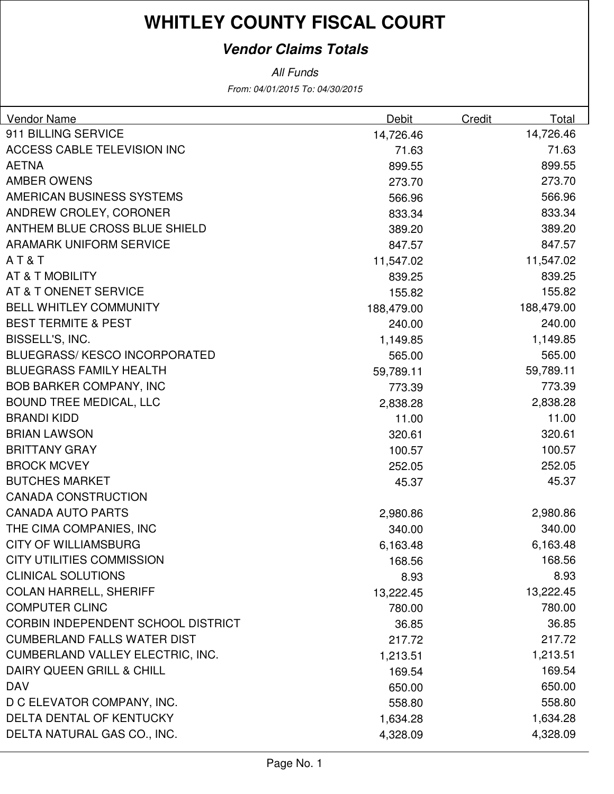### **Vendor Claims Totals**

From: 04/01/2015 To: 04/30/2015 All Funds

| Vendor Name                             | Debit      | Credit | Total      |
|-----------------------------------------|------------|--------|------------|
| 911 BILLING SERVICE                     | 14,726.46  |        | 14,726.46  |
| ACCESS CABLE TELEVISION INC             | 71.63      |        | 71.63      |
| <b>AETNA</b>                            | 899.55     |        | 899.55     |
| <b>AMBER OWENS</b>                      | 273.70     |        | 273.70     |
| AMERICAN BUSINESS SYSTEMS               | 566.96     |        | 566.96     |
| ANDREW CROLEY, CORONER                  | 833.34     |        | 833.34     |
| <b>ANTHEM BLUE CROSS BLUE SHIELD</b>    | 389.20     |        | 389.20     |
| <b>ARAMARK UNIFORM SERVICE</b>          | 847.57     |        | 847.57     |
| AT&T                                    | 11,547.02  |        | 11,547.02  |
| AT & T MOBILITY                         | 839.25     |        | 839.25     |
| AT & T ONENET SERVICE                   | 155.82     |        | 155.82     |
| <b>BELL WHITLEY COMMUNITY</b>           | 188,479.00 |        | 188,479.00 |
| <b>BEST TERMITE &amp; PEST</b>          | 240.00     |        | 240.00     |
| BISSELL'S, INC.                         | 1,149.85   |        | 1,149.85   |
| <b>BLUEGRASS/KESCO INCORPORATED</b>     | 565.00     |        | 565.00     |
| <b>BLUEGRASS FAMILY HEALTH</b>          | 59,789.11  |        | 59,789.11  |
| <b>BOB BARKER COMPANY, INC</b>          | 773.39     |        | 773.39     |
| <b>BOUND TREE MEDICAL, LLC</b>          | 2,838.28   |        | 2,838.28   |
| <b>BRANDI KIDD</b>                      | 11.00      |        | 11.00      |
| <b>BRIAN LAWSON</b>                     | 320.61     |        | 320.61     |
| <b>BRITTANY GRAY</b>                    | 100.57     |        | 100.57     |
| <b>BROCK MCVEY</b>                      | 252.05     |        | 252.05     |
| <b>BUTCHES MARKET</b>                   | 45.37      |        | 45.37      |
| <b>CANADA CONSTRUCTION</b>              |            |        |            |
| <b>CANADA AUTO PARTS</b>                | 2,980.86   |        | 2,980.86   |
| THE CIMA COMPANIES, INC                 | 340.00     |        | 340.00     |
| <b>CITY OF WILLIAMSBURG</b>             | 6,163.48   |        | 6,163.48   |
| <b>CITY UTILITIES COMMISSION</b>        | 168.56     |        | 168.56     |
| <b>CLINICAL SOLUTIONS</b>               | 8.93       |        | 8.93       |
| <b>COLAN HARRELL, SHERIFF</b>           | 13,222.45  |        | 13,222.45  |
| <b>COMPUTER CLINC</b>                   | 780.00     |        | 780.00     |
| CORBIN INDEPENDENT SCHOOL DISTRICT      | 36.85      |        | 36.85      |
| <b>CUMBERLAND FALLS WATER DIST</b>      | 217.72     |        | 217.72     |
| <b>CUMBERLAND VALLEY ELECTRIC, INC.</b> | 1,213.51   |        | 1,213.51   |
| DAIRY QUEEN GRILL & CHILL               | 169.54     |        | 169.54     |
| <b>DAV</b>                              | 650.00     |        | 650.00     |
| D C ELEVATOR COMPANY, INC.              | 558.80     |        | 558.80     |
| DELTA DENTAL OF KENTUCKY                | 1,634.28   |        | 1,634.28   |
| DELTA NATURAL GAS CO., INC.             | 4,328.09   |        | 4,328.09   |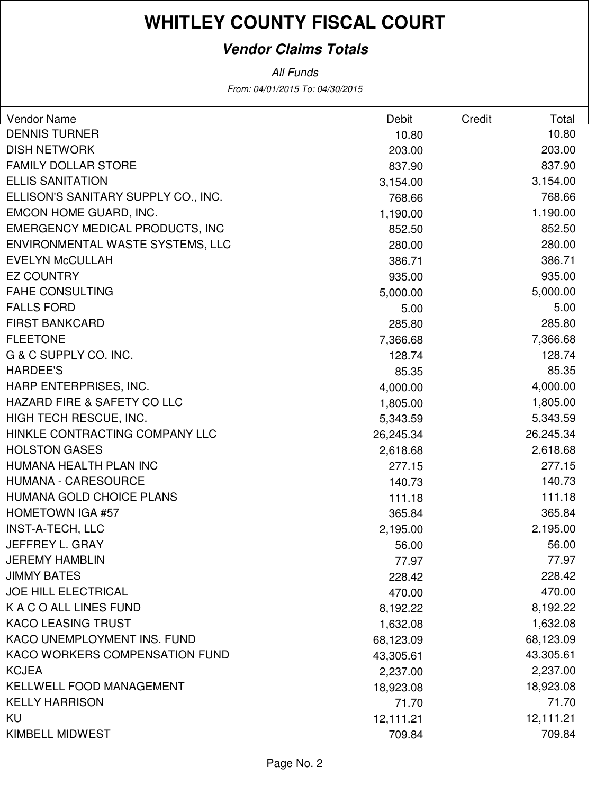### **Vendor Claims Totals**

From: 04/01/2015 To: 04/30/2015 All Funds

| <b>Vendor Name</b>                     | Debit     | Credit | Total     |
|----------------------------------------|-----------|--------|-----------|
| <b>DENNIS TURNER</b>                   | 10.80     |        | 10.80     |
| <b>DISH NETWORK</b>                    | 203.00    |        | 203.00    |
| <b>FAMILY DOLLAR STORE</b>             | 837.90    |        | 837.90    |
| <b>ELLIS SANITATION</b>                | 3,154.00  |        | 3,154.00  |
| ELLISON'S SANITARY SUPPLY CO., INC.    | 768.66    |        | 768.66    |
| EMCON HOME GUARD, INC.                 | 1,190.00  |        | 1,190.00  |
| <b>EMERGENCY MEDICAL PRODUCTS, INC</b> | 852.50    |        | 852.50    |
| ENVIRONMENTAL WASTE SYSTEMS, LLC       | 280.00    |        | 280.00    |
| <b>EVELYN McCULLAH</b>                 | 386.71    |        | 386.71    |
| <b>EZ COUNTRY</b>                      | 935.00    |        | 935.00    |
| <b>FAHE CONSULTING</b>                 | 5,000.00  |        | 5,000.00  |
| <b>FALLS FORD</b>                      | 5.00      |        | 5.00      |
| <b>FIRST BANKCARD</b>                  | 285.80    |        | 285.80    |
| <b>FLEETONE</b>                        | 7,366.68  |        | 7,366.68  |
| G & C SUPPLY CO. INC.                  | 128.74    |        | 128.74    |
| <b>HARDEE'S</b>                        | 85.35     |        | 85.35     |
| HARP ENTERPRISES, INC.                 | 4,000.00  |        | 4,000.00  |
| <b>HAZARD FIRE &amp; SAFETY CO LLC</b> | 1,805.00  |        | 1,805.00  |
| HIGH TECH RESCUE, INC.                 | 5,343.59  |        | 5,343.59  |
| HINKLE CONTRACTING COMPANY LLC         | 26,245.34 |        | 26,245.34 |
| <b>HOLSTON GASES</b>                   | 2,618.68  |        | 2,618.68  |
| HUMANA HEALTH PLAN INC                 | 277.15    |        | 277.15    |
| <b>HUMANA - CARESOURCE</b>             | 140.73    |        | 140.73    |
| HUMANA GOLD CHOICE PLANS               | 111.18    |        | 111.18    |
| <b>HOMETOWN IGA #57</b>                | 365.84    |        | 365.84    |
| <b>INST-A-TECH, LLC</b>                | 2,195.00  |        | 2,195.00  |
| JEFFREY L. GRAY                        | 56.00     |        | 56.00     |
| <b>JEREMY HAMBLIN</b>                  | 77.97     |        | 77.97     |
| <b>JIMMY BATES</b>                     | 228.42    |        | 228.42    |
| <b>JOE HILL ELECTRICAL</b>             | 470.00    |        | 470.00    |
| K A C O ALL LINES FUND                 | 8,192.22  |        | 8,192.22  |
| <b>KACO LEASING TRUST</b>              | 1,632.08  |        | 1,632.08  |
| KACO UNEMPLOYMENT INS. FUND            | 68,123.09 |        | 68,123.09 |
| KACO WORKERS COMPENSATION FUND         | 43,305.61 |        | 43,305.61 |
| <b>KCJEA</b>                           | 2,237.00  |        | 2,237.00  |
| KELLWELL FOOD MANAGEMENT               | 18,923.08 |        | 18,923.08 |
| <b>KELLY HARRISON</b>                  | 71.70     |        | 71.70     |
| KU                                     | 12,111.21 |        | 12,111.21 |
| KIMBELL MIDWEST                        | 709.84    |        | 709.84    |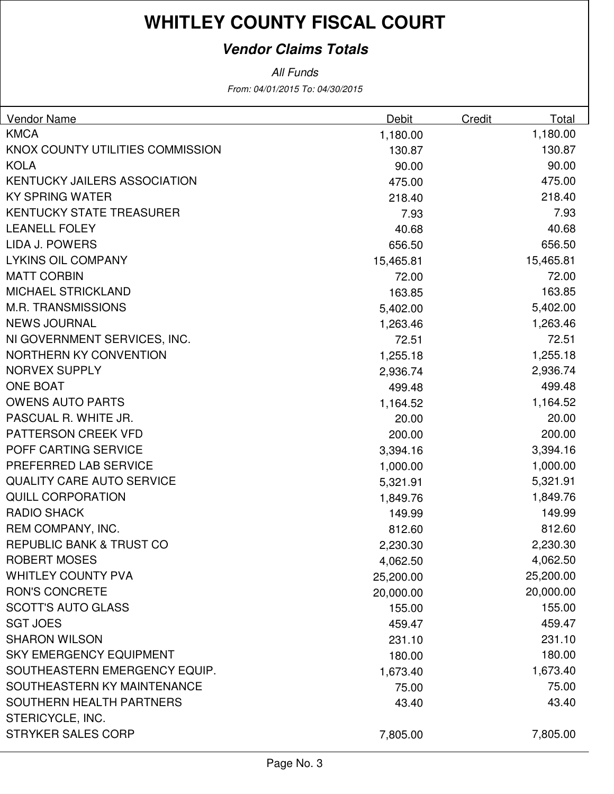### **Vendor Claims Totals**

All Funds

From: 04/01/2015 To: 04/30/2015

| <b>Vendor Name</b>                  | Debit     | Credit | Total     |
|-------------------------------------|-----------|--------|-----------|
| <b>KMCA</b>                         | 1,180.00  |        | 1,180.00  |
| KNOX COUNTY UTILITIES COMMISSION    | 130.87    |        | 130.87    |
| <b>KOLA</b>                         | 90.00     |        | 90.00     |
| <b>KENTUCKY JAILERS ASSOCIATION</b> | 475.00    |        | 475.00    |
| <b>KY SPRING WATER</b>              | 218.40    |        | 218.40    |
| <b>KENTUCKY STATE TREASURER</b>     | 7.93      |        | 7.93      |
| <b>LEANELL FOLEY</b>                | 40.68     |        | 40.68     |
| LIDA J. POWERS                      | 656.50    |        | 656.50    |
| <b>LYKINS OIL COMPANY</b>           | 15,465.81 |        | 15,465.81 |
| <b>MATT CORBIN</b>                  | 72.00     |        | 72.00     |
| MICHAEL STRICKLAND                  | 163.85    |        | 163.85    |
| <b>M.R. TRANSMISSIONS</b>           | 5,402.00  |        | 5,402.00  |
| <b>NEWS JOURNAL</b>                 | 1,263.46  |        | 1,263.46  |
| NI GOVERNMENT SERVICES, INC.        | 72.51     |        | 72.51     |
| <b>NORTHERN KY CONVENTION</b>       | 1,255.18  |        | 1,255.18  |
| <b>NORVEX SUPPLY</b>                | 2,936.74  |        | 2,936.74  |
| <b>ONE BOAT</b>                     | 499.48    |        | 499.48    |
| <b>OWENS AUTO PARTS</b>             | 1,164.52  |        | 1,164.52  |
| PASCUAL R. WHITE JR.                | 20.00     |        | 20.00     |
| PATTERSON CREEK VFD                 | 200.00    |        | 200.00    |
| POFF CARTING SERVICE                | 3,394.16  |        | 3,394.16  |
| PREFERRED LAB SERVICE               | 1,000.00  |        | 1,000.00  |
| QUALITY CARE AUTO SERVICE           | 5,321.91  |        | 5,321.91  |
| <b>QUILL CORPORATION</b>            | 1,849.76  |        | 1,849.76  |
| <b>RADIO SHACK</b>                  | 149.99    |        | 149.99    |
| REM COMPANY, INC.                   | 812.60    |        | 812.60    |
| REPUBLIC BANK & TRUST CO            | 2,230.30  |        | 2,230.30  |
| <b>ROBERT MOSES</b>                 | 4,062.50  |        | 4,062.50  |
| <b>WHITLEY COUNTY PVA</b>           | 25,200.00 |        | 25,200.00 |
| <b>RON'S CONCRETE</b>               | 20,000.00 |        | 20,000.00 |
| <b>SCOTT'S AUTO GLASS</b>           | 155.00    |        | 155.00    |
| <b>SGT JOES</b>                     | 459.47    |        | 459.47    |
| <b>SHARON WILSON</b>                | 231.10    |        | 231.10    |
| <b>SKY EMERGENCY EQUIPMENT</b>      | 180.00    |        | 180.00    |
| SOUTHEASTERN EMERGENCY EQUIP.       | 1,673.40  |        | 1,673.40  |
| SOUTHEASTERN KY MAINTENANCE         | 75.00     |        | 75.00     |
| <b>SOUTHERN HEALTH PARTNERS</b>     | 43.40     |        | 43.40     |
| STERICYCLE, INC.                    |           |        |           |
| <b>STRYKER SALES CORP</b>           | 7,805.00  |        | 7,805.00  |